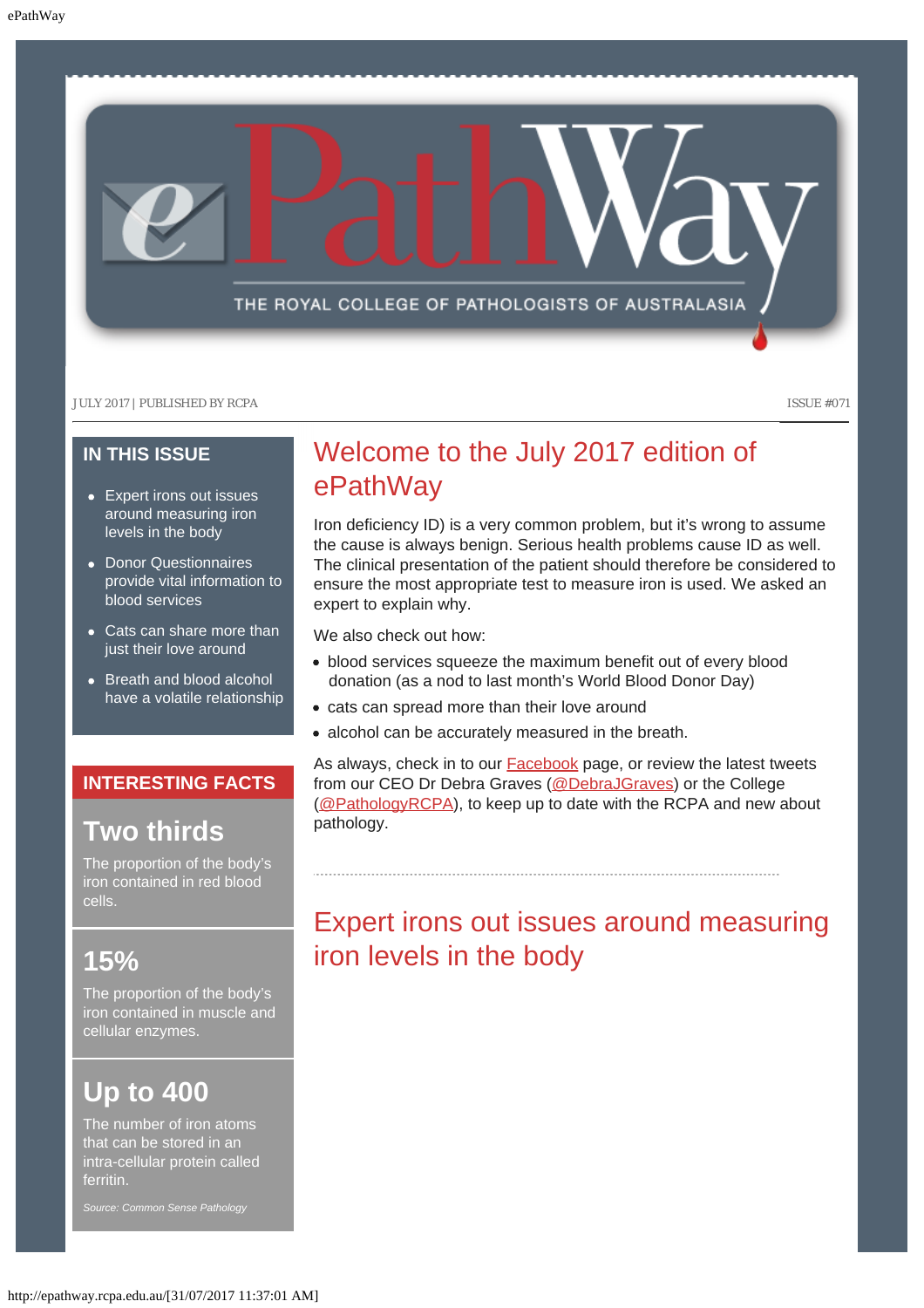

### **IN THIS ISSUE**

- [Expert irons out issues](#page-0-0) [around measuring iron](#page-0-0) [levels in the body](#page-0-0)
- [Donor Questionnaires](#page-1-0) [provide vital information to](#page-1-0) [blood services](#page-1-0)
- [Cats can share more than](#page-2-0) [just their love around](#page-2-0)
- [Breath and blood alcohol](#page-2-1) [have a volatile relationship](#page-2-1)

### **INTERESTING FACTS**

### **Two thirds**

The proportion of the body's iron contained in red blood cells.

### <span id="page-0-0"></span>**15%**

The proportion of the body's iron contained in muscle and cellular enzymes.

# **Up to 400**

The number of iron atoms that can be stored in an intra-cellular protein called ferritin.

*Source: Common Sense Pathology*

## Welcome to the July 2017 edition of ePathWay

Iron deficiency ID) is a very common problem, but it's wrong to assume the cause is always benign. Serious health problems cause ID as well. The clinical presentation of the patient should therefore be considered to ensure the most appropriate test to measure iron is used. We asked an expert to explain why.

We also check out how:

- blood services squeeze the maximum benefit out of every blood donation (as a nod to last month's World Blood Donor Day)
- cats can spread more than their love around
- alcohol can be accurately measured in the breath.

As always, check in to our **Facebook** page, or review the latest tweets from our CEO Dr Debra Graves [\(@DebraJGraves](https://twitter.com/search?q=%40debrajgraves&src=typd)) or the College [\(@PathologyRCPA](https://twitter.com/pathologyrcpa)), to keep up to date with the RCPA and new about pathology.

## Expert irons out issues around measuring iron levels in the body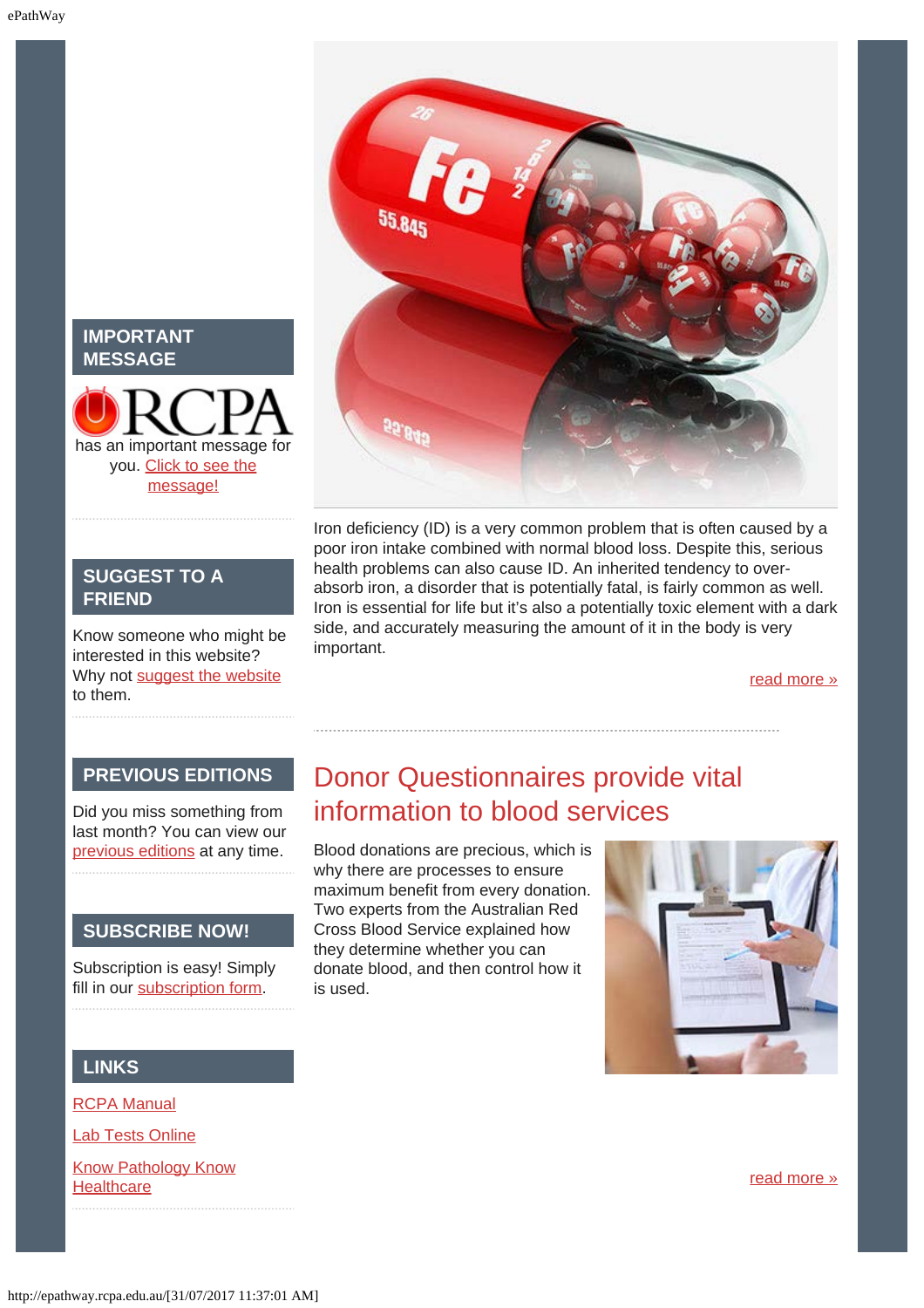### **IMPORTANT MESSAGE**

# has an important message for you. [Click to see the](http://epathway.rcpa.edu.au/notice.html) [message!](http://epathway.rcpa.edu.au/notice.html)

### **SUGGEST TO A FRIEND**

Know someone who might be interested in this website? Why not [suggest the website](mailto:?Subject=I%20think%20you%20should%20read%20this%20Newsletter=
http://epathway.rcpa.edu.au/index.html) to them.

### Iron deficiency (ID) is a very common problem that is often caused by a poor iron intake combined with normal blood loss. Despite this, serious health problems can also cause ID. An inherited tendency to overabsorb iron, a disorder that is potentially fatal, is fairly common as well. Iron is essential for life but it's also a potentially toxic element with a dark side, and accurately measuring the amount of it in the body is very important.

[read more »](#page-5-0)

### **PREVIOUS EDITIONS**

<span id="page-1-0"></span>Did you miss something from last month? You can view our [previous editions](#page-3-0) at any time.

### **SUBSCRIBE NOW!**

Subscription is easy! Simply fill in our [subscription form.](http://epathway.rcpa.edu.au/subscription.html)

# Donor Questionnaires provide vital information to blood services

Blood donations are precious, which is why there are processes to ensure maximum benefit from every donation. Two experts from the Australian Red Cross Blood Service explained how they determine whether you can donate blood, and then control how it is used.



### **LINKS**

[RCPA Manual](http://rcpamanual.edu.au/)

**[Lab Tests Online](http://www.labtestsonline.org.au/)** 

[Know Pathology Know](http://knowpathology.com.au/) **[Healthcare](http://knowpathology.com.au/)** 

[read more »](#page-7-0)

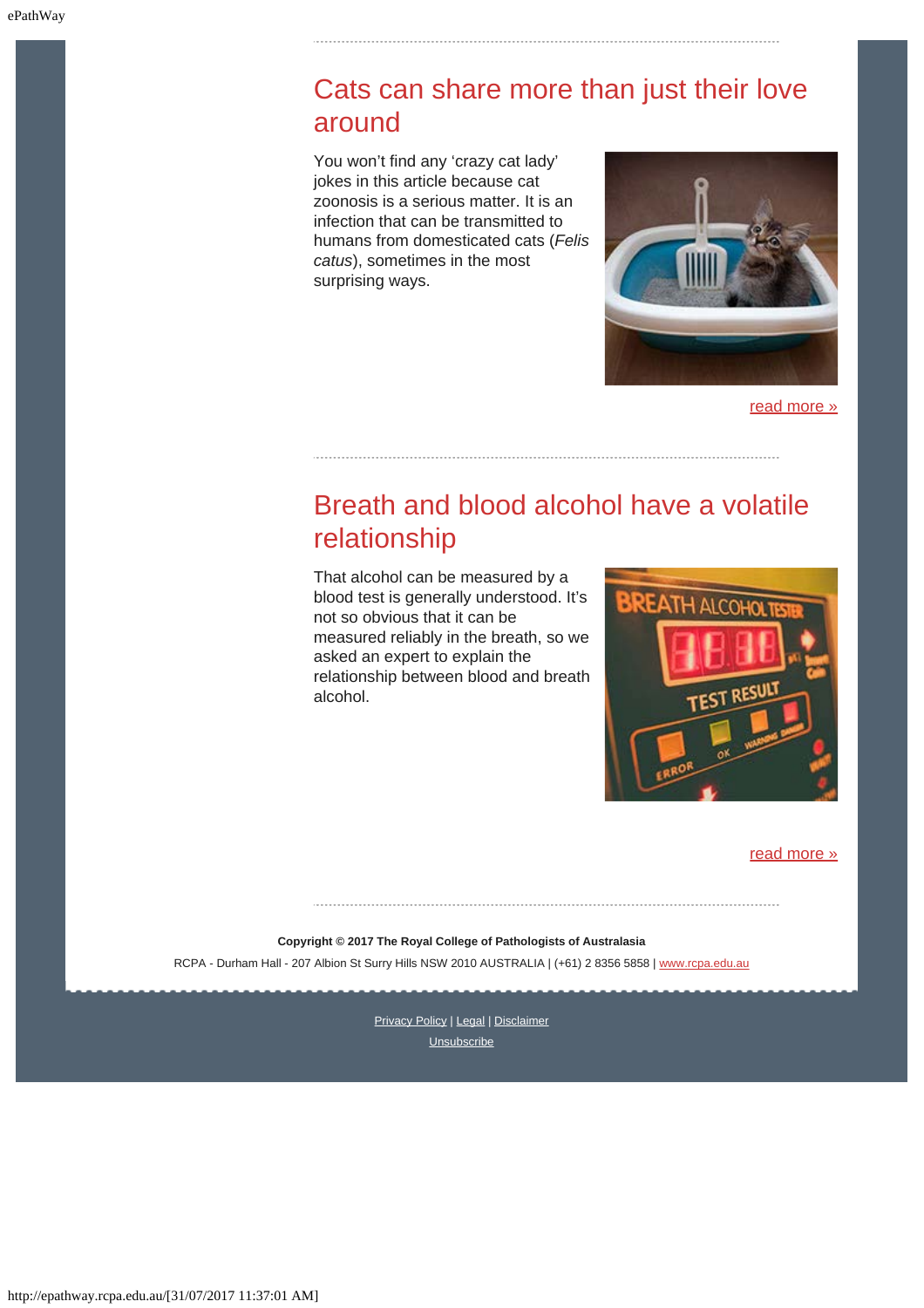## <span id="page-2-0"></span>Cats can share more than just their love around

You won't find any 'crazy cat lady' jokes in this article because cat zoonosis is a serious matter. It is an infection that can be transmitted to humans from domesticated cats (*Felis catus*), sometimes in the most surprising ways.



[read more »](#page-10-0)

## <span id="page-2-1"></span>Breath and blood alcohol have a volatile relationship

That alcohol can be measured by a blood test is generally understood. It's not so obvious that it can be measured reliably in the breath, so we asked an expert to explain the relationship between blood and breath alcohol.



#### [read more »](#page-13-0)

**Copyright © 2017 The Royal College of Pathologists of Australasia**

RCPA - Durham Hall - 207 Albion St Surry Hills NSW 2010 AUSTRALIA | (+61) 2 8356 5858 | [www.rcpa.edu.au](https://www.rcpa.edu.au/)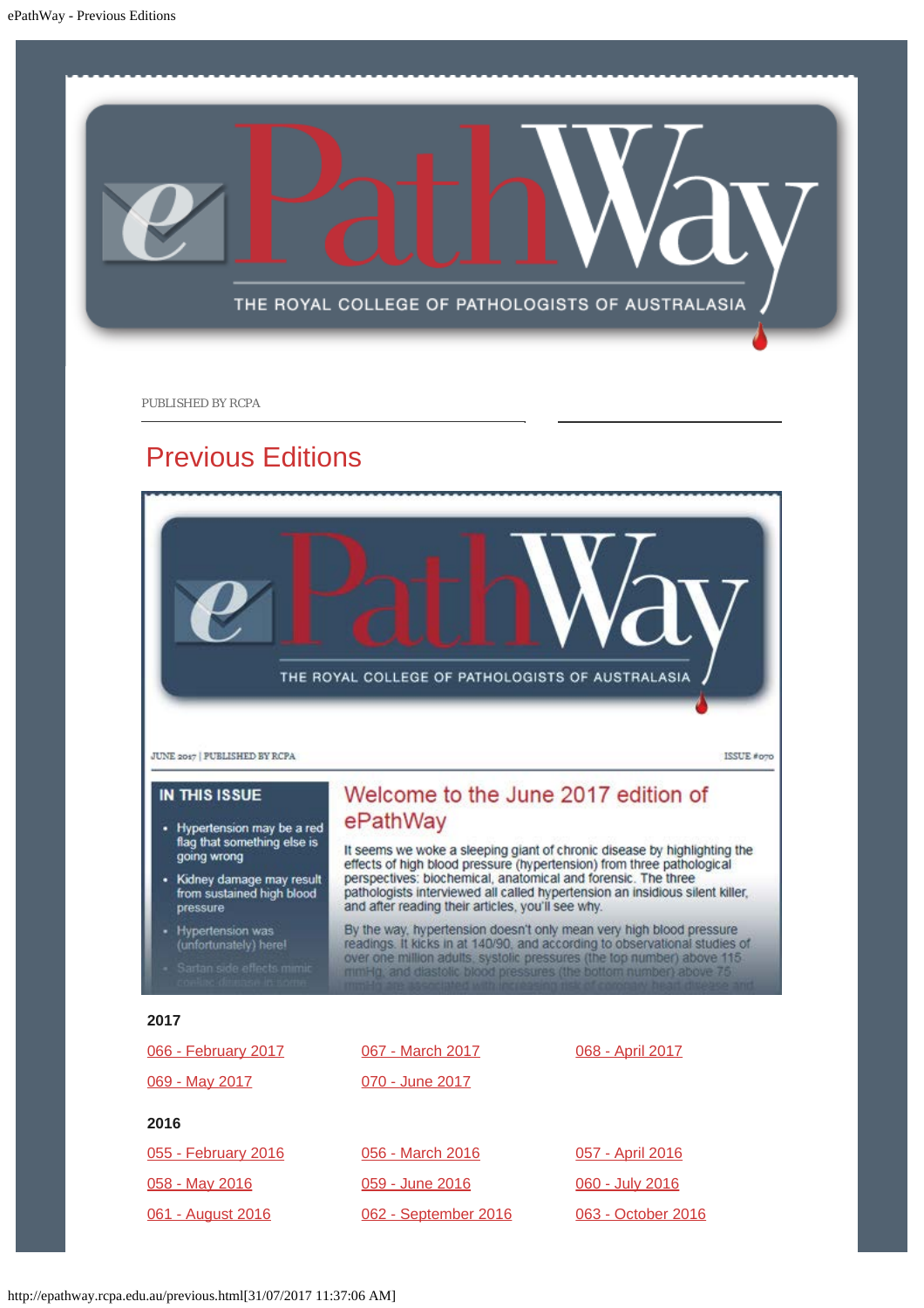<span id="page-3-0"></span>

PUBLISHED BY RCPA

### Previous Editions

THE ROYAL COLLEGE OF PATHOLOGISTS OF AUSTRALASIA

**JUNE 2017 | PUBLISHED BY RCPA** 

**IN THIS ISSUE** 

- Hypertension may be a red flag that something else is going wrong
- Kidney damage may result from sustained high blood pressure
- **Hypertension was** (unfortunately) here!
- 

### Welcome to the June 2017 edition of ePathWay

It seems we woke a sleeping giant of chronic disease by highlighting the effects of high blood pressure (hypertension) from three pathological perspectives: biochemical, anatomical and forensic. The three<br>pathologists interviewed all called hypertension an insidious silent killer, and after reading their articles, you'll see why.

ISSUE #070

By the way, hypertension doesn't only mean very high blood pressure<br>readings. It kicks in at 140/90, and according to observational studies of<br>over one million adults, systolic pressures (the top number) above 115<br>mining,

#### **2017**

| 066 - February 2017 | 067 - March 2017     | 068 - April 2017   |
|---------------------|----------------------|--------------------|
| 069 - May 2017      | 070 - June 2017      |                    |
| 2016                |                      |                    |
| 055 - February 2016 | 056 - March 2016     | 057 - April 2016   |
| 058 - May 2016      | 059 - June 2016      | 060 - July 2016    |
| 061 - August 2016   | 062 - September 2016 | 063 - October 2016 |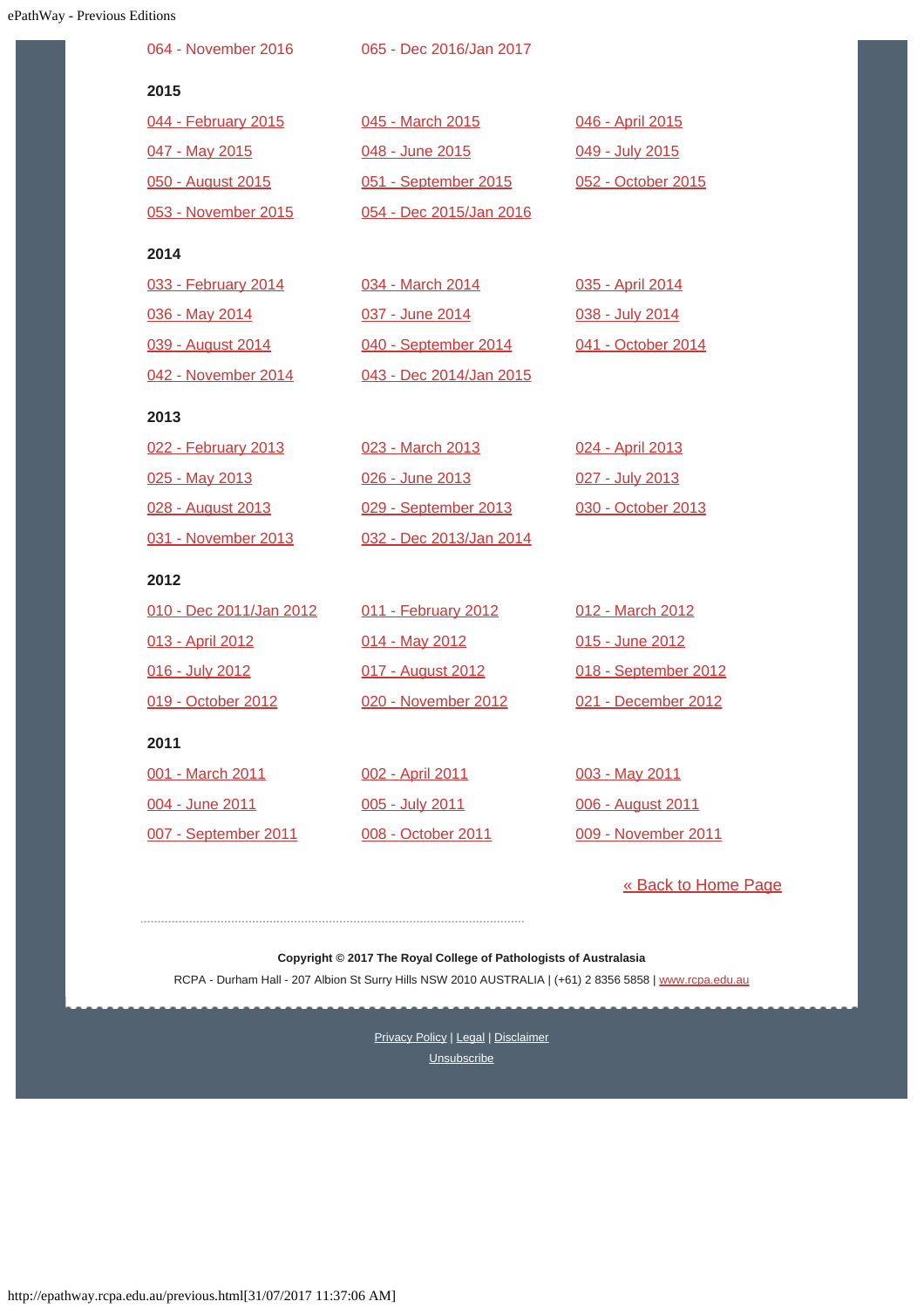| <b>Way - Previous Editions</b> |                         |                         |                      |
|--------------------------------|-------------------------|-------------------------|----------------------|
|                                | 064 - November 2016     | 065 - Dec 2016/Jan 2017 |                      |
|                                | 2015                    |                         |                      |
|                                | 044 - February 2015     | 045 - March 2015        | 046 - April 2015     |
|                                | 047 - May 2015          | 048 - June 2015         | 049 - July 2015      |
|                                | 050 - August 2015       | 051 - September 2015    | 052 - October 2015   |
|                                | 053 - November 2015     | 054 - Dec 2015/Jan 2016 |                      |
|                                | 2014                    |                         |                      |
|                                | 033 - February 2014     | 034 - March 2014        | 035 - April 2014     |
|                                | 036 - May 2014          | 037 - June 2014         | 038 - July 2014      |
|                                | 039 - August 2014       | 040 - September 2014    | 041 - October 2014   |
|                                | 042 - November 2014     | 043 - Dec 2014/Jan 2015 |                      |
|                                | 2013                    |                         |                      |
|                                | 022 - February 2013     | 023 - March 2013        | 024 - April 2013     |
|                                | 025 - May 2013          | 026 - June 2013         | 027 - July 2013      |
|                                | 028 - August 2013       | 029 - September 2013    | 030 - October 2013   |
|                                | 031 - November 2013     | 032 - Dec 2013/Jan 2014 |                      |
|                                | 2012                    |                         |                      |
|                                | 010 - Dec 2011/Jan 2012 | 011 - February 2012     | 012 - March 2012     |
|                                | 013 - April 2012        | 014 - May 2012          | 015 - June 2012      |
|                                | 016 - July 2012         | 017 - August 2012       | 018 - September 2012 |
|                                | 019 - October 2012      | 020 - November 2012     | 021 - December 2012  |
|                                | 2011                    |                         |                      |
|                                | 001 - March 2011        | 002 - April 2011        | 003 - May 2011       |
|                                | 004 - June 2011         | 005 - July 2011         | 006 - August 2011    |
|                                | 007 - September 2011    | 008 - October 2011      | 009 - November 2011  |

[« Back to Home Page](http://epathway.rcpa.edu.au/index.html)

**Copyright © 2017 The Royal College of Pathologists of Australasia** RCPA - Durham Hall - 207 Albion St Surry Hills NSW 2010 AUSTRALIA | (+61) 2 8356 5858 | [www.rcpa.edu.au](https://www.rcpa.edu.au/)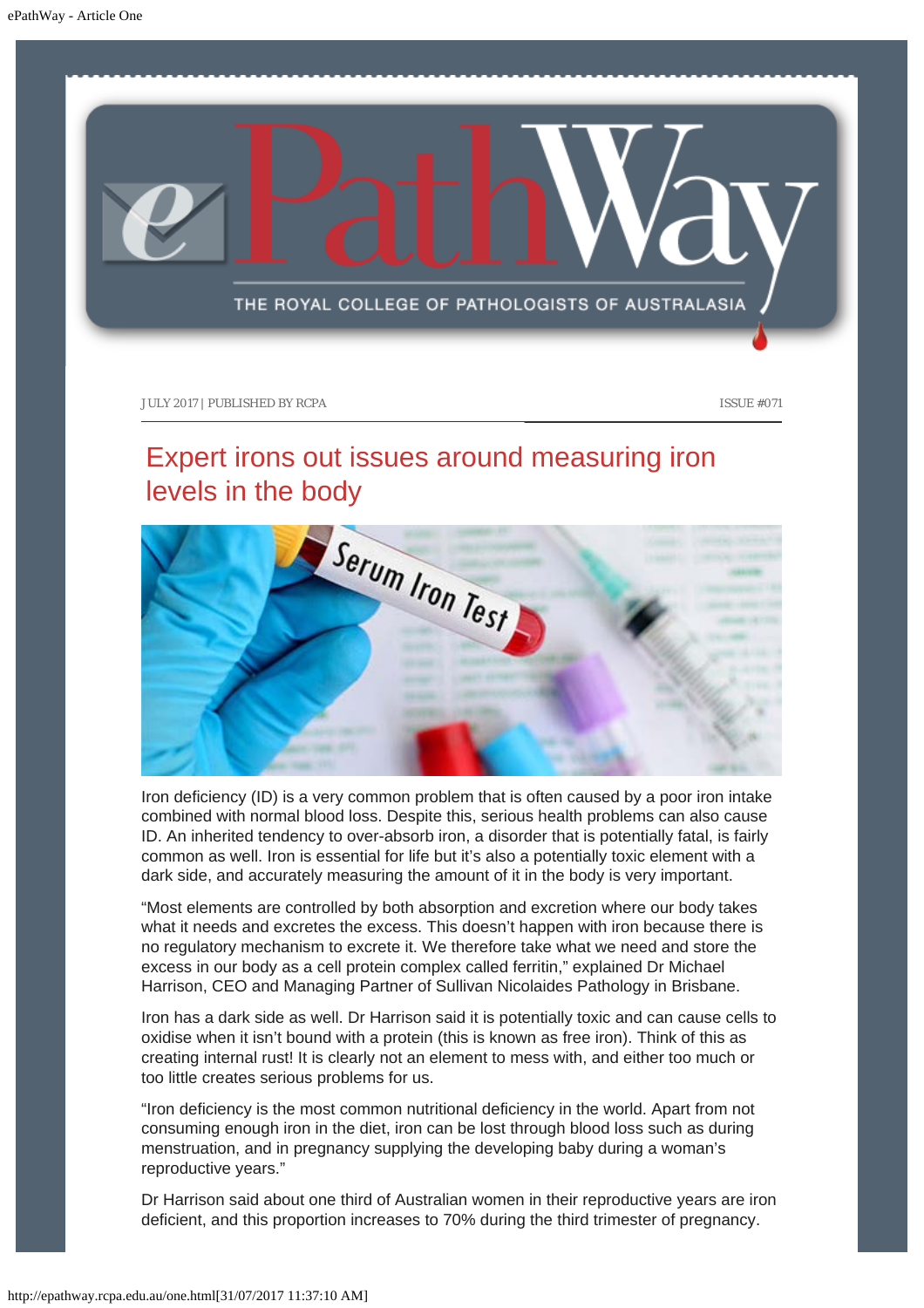<span id="page-5-0"></span>

## Expert irons out issues around measuring iron levels in the body



Iron deficiency (ID) is a very common problem that is often caused by a poor iron intake combined with normal blood loss. Despite this, serious health problems can also cause ID. An inherited tendency to over-absorb iron, a disorder that is potentially fatal, is fairly common as well. Iron is essential for life but it's also a potentially toxic element with a dark side, and accurately measuring the amount of it in the body is very important.

"Most elements are controlled by both absorption and excretion where our body takes what it needs and excretes the excess. This doesn't happen with iron because there is no regulatory mechanism to excrete it. We therefore take what we need and store the excess in our body as a cell protein complex called ferritin," explained Dr Michael Harrison, CEO and Managing Partner of Sullivan Nicolaides Pathology in Brisbane.

Iron has a dark side as well. Dr Harrison said it is potentially toxic and can cause cells to oxidise when it isn't bound with a protein (this is known as free iron). Think of this as creating internal rust! It is clearly not an element to mess with, and either too much or too little creates serious problems for us.

"Iron deficiency is the most common nutritional deficiency in the world. Apart from not consuming enough iron in the diet, iron can be lost through blood loss such as during menstruation, and in pregnancy supplying the developing baby during a woman's reproductive years."

Dr Harrison said about one third of Australian women in their reproductive years are iron deficient, and this proportion increases to 70% during the third trimester of pregnancy.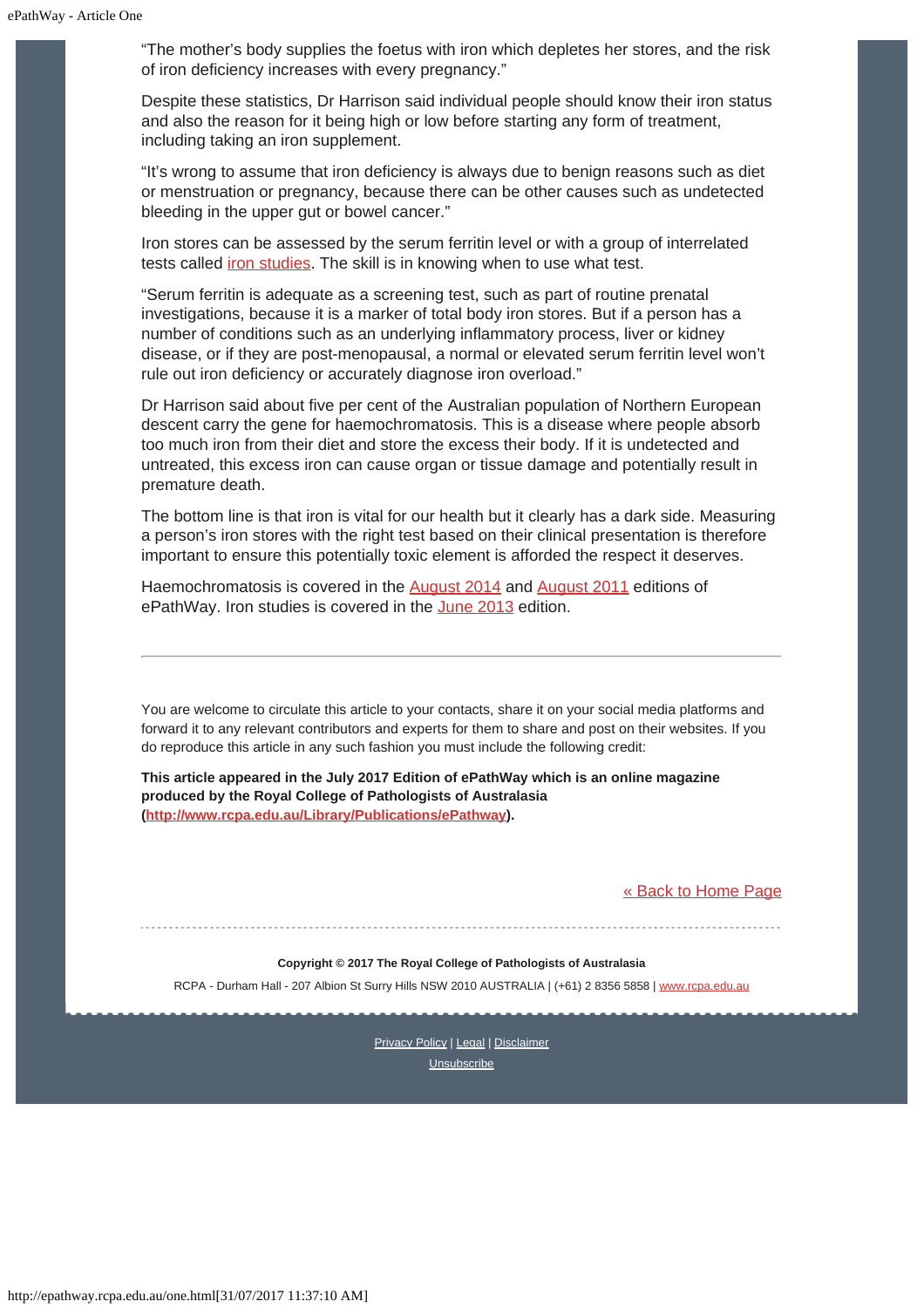"The mother's body supplies the foetus with iron which depletes her stores, and the risk of iron deficiency increases with every pregnancy."

Despite these statistics, Dr Harrison said individual people should know their iron status and also the reason for it being high or low before starting any form of treatment, including taking an iron supplement.

"It's wrong to assume that iron deficiency is always due to benign reasons such as diet or menstruation or pregnancy, because there can be other causes such as undetected bleeding in the upper gut or bowel cancer."

Iron stores can be assessed by the serum ferritin level or with a group of interrelated tests called *iron studies*. The skill is in knowing when to use what test.

"Serum ferritin is adequate as a screening test, such as part of routine prenatal investigations, because it is a marker of total body iron stores. But if a person has a number of conditions such as an underlying inflammatory process, liver or kidney disease, or if they are post-menopausal, a normal or elevated serum ferritin level won't rule out iron deficiency or accurately diagnose iron overload."

Dr Harrison said about five per cent of the Australian population of Northern European descent carry the gene for haemochromatosis. This is a disease where people absorb too much iron from their diet and store the excess their body. If it is undetected and untreated, this excess iron can cause organ or tissue damage and potentially result in premature death.

The bottom line is that iron is vital for our health but it clearly has a dark side. Measuring a person's iron stores with the right test based on their clinical presentation is therefore important to ensure this potentially toxic element is afforded the respect it deserves.

Haemochromatosis is covered in the [August 2014](http://www.rcpa.edu.au/getattachment/ff88b162-4018-4e95-9bda-a7b45e4e3c4b/ePathway-Issue-39.aspx) and [August 2011](http://www.rcpa.edu.au/getattachment/d7248a32-05ae-4cc9-976c-d4cb7f77ca6c/ePathway-Issue-006.aspx) editions of ePathWay. Iron studies is covered in the [June 2013](http://www.rcpa.edu.au/getattachment/0b5bf51b-f89a-4c71-833d-a563639708fb/ePathway-Issue-026.aspx) edition.

You are welcome to circulate this article to your contacts, share it on your social media platforms and forward it to any relevant contributors and experts for them to share and post on their websites. If you do reproduce this article in any such fashion you must include the following credit:

**This article appeared in the July 2017 Edition of ePathWay which is an online magazine produced by the Royal College of Pathologists of Australasia [\(http://www.rcpa.edu.au/Library/Publications/ePathway](http://www.rcpa.edu.au/Library/Publications/ePathway)).**

#### [« Back to Home Page](http://epathway.rcpa.edu.au/index.html)

**Copyright © 2017 The Royal College of Pathologists of Australasia**

RCPA - Durham Hall - 207 Albion St Surry Hills NSW 2010 AUSTRALIA | (+61) 2 8356 5858 | [www.rcpa.edu.au](https://www.rcpa.edu.au/)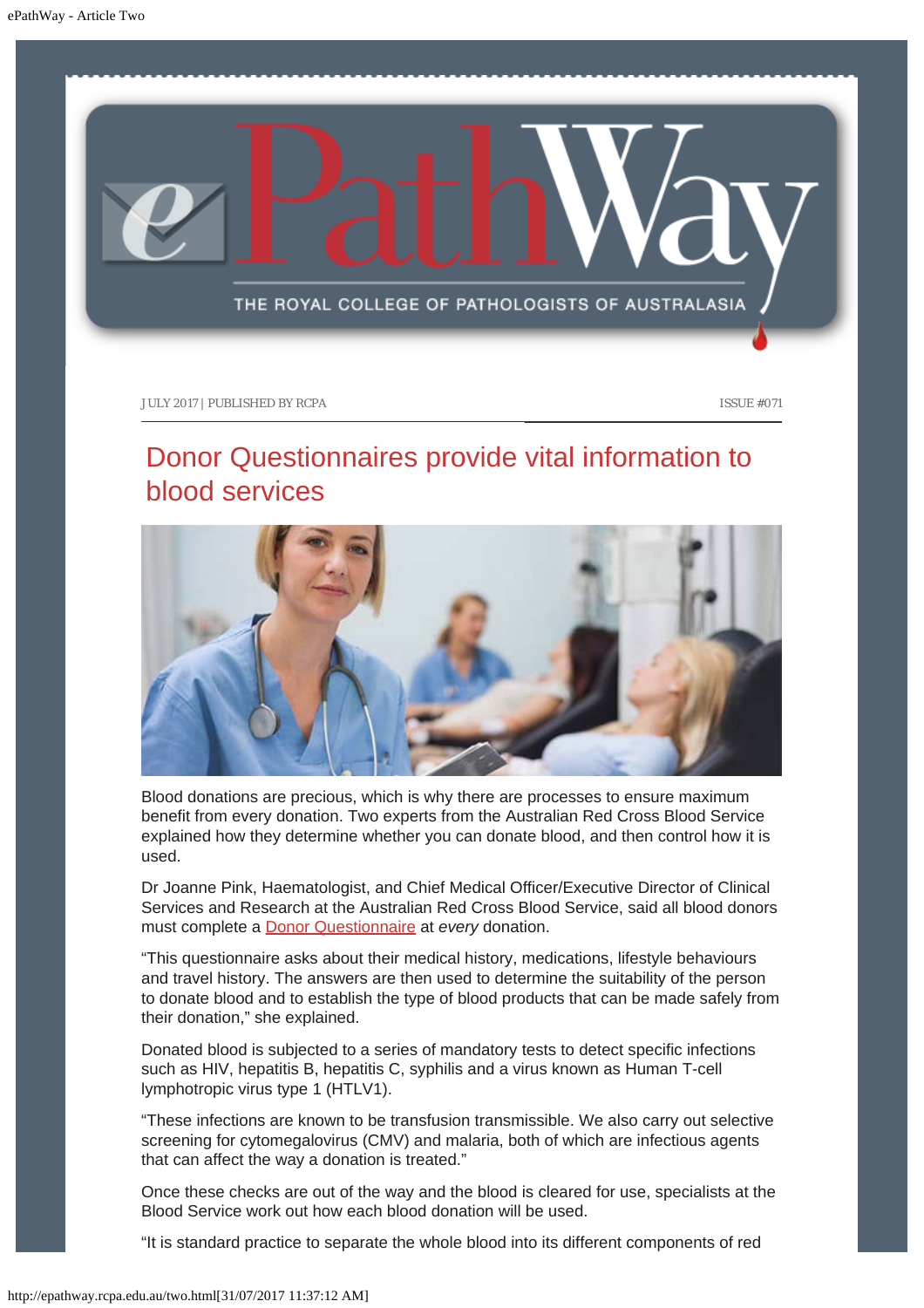<span id="page-7-0"></span>

## Donor Questionnaires provide vital information to blood services



Blood donations are precious, which is why there are processes to ensure maximum benefit from every donation. Two experts from the Australian Red Cross Blood Service explained how they determine whether you can donate blood, and then control how it is used.

Dr Joanne Pink, Haematologist, and Chief Medical Officer/Executive Director of Clinical Services and Research at the Australian Red Cross Blood Service, said all blood donors must complete a [Donor Questionnaire](http://www.donateblood.com.au/sites/default/files/DonorQuestionnaire_Jan2016_SAMPLE.pdf) at *every* donation.

"This questionnaire asks about their medical history, medications, lifestyle behaviours and travel history. The answers are then used to determine the suitability of the person to donate blood and to establish the type of blood products that can be made safely from their donation," she explained.

Donated blood is subjected to a series of mandatory tests to detect specific infections such as HIV, hepatitis B, hepatitis C, syphilis and a virus known as Human T-cell lymphotropic virus type 1 (HTLV1).

"These infections are known to be transfusion transmissible. We also carry out selective screening for cytomegalovirus (CMV) and malaria, both of which are infectious agents that can affect the way a donation is treated."

Once these checks are out of the way and the blood is cleared for use, specialists at the Blood Service work out how each blood donation will be used.

"It is standard practice to separate the whole blood into its different components of red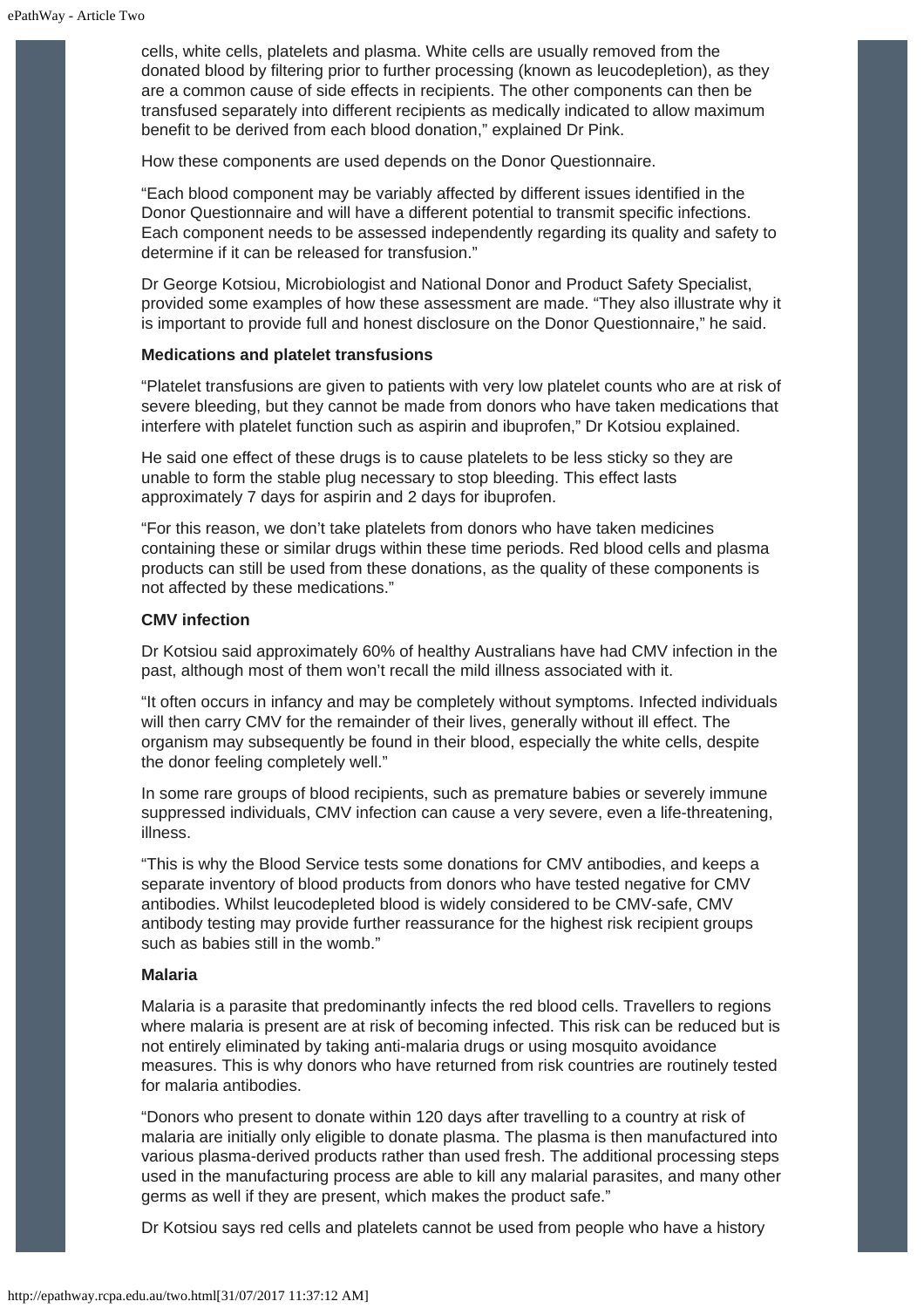cells, white cells, platelets and plasma. White cells are usually removed from the donated blood by filtering prior to further processing (known as leucodepletion), as they are a common cause of side effects in recipients. The other components can then be transfused separately into different recipients as medically indicated to allow maximum benefit to be derived from each blood donation," explained Dr Pink.

How these components are used depends on the Donor Questionnaire.

"Each blood component may be variably affected by different issues identified in the Donor Questionnaire and will have a different potential to transmit specific infections. Each component needs to be assessed independently regarding its quality and safety to determine if it can be released for transfusion."

Dr George Kotsiou, Microbiologist and National Donor and Product Safety Specialist, provided some examples of how these assessment are made. "They also illustrate why it is important to provide full and honest disclosure on the Donor Questionnaire," he said.

#### **Medications and platelet transfusions**

"Platelet transfusions are given to patients with very low platelet counts who are at risk of severe bleeding, but they cannot be made from donors who have taken medications that interfere with platelet function such as aspirin and ibuprofen," Dr Kotsiou explained.

He said one effect of these drugs is to cause platelets to be less sticky so they are unable to form the stable plug necessary to stop bleeding. This effect lasts approximately 7 days for aspirin and 2 days for ibuprofen.

"For this reason, we don't take platelets from donors who have taken medicines containing these or similar drugs within these time periods. Red blood cells and plasma products can still be used from these donations, as the quality of these components is not affected by these medications."

#### **CMV infection**

Dr Kotsiou said approximately 60% of healthy Australians have had CMV infection in the past, although most of them won't recall the mild illness associated with it.

"It often occurs in infancy and may be completely without symptoms. Infected individuals will then carry CMV for the remainder of their lives, generally without ill effect. The organism may subsequently be found in their blood, especially the white cells, despite the donor feeling completely well."

In some rare groups of blood recipients, such as premature babies or severely immune suppressed individuals, CMV infection can cause a very severe, even a life-threatening, illness.

"This is why the Blood Service tests some donations for CMV antibodies, and keeps a separate inventory of blood products from donors who have tested negative for CMV antibodies. Whilst leucodepleted blood is widely considered to be CMV-safe, CMV antibody testing may provide further reassurance for the highest risk recipient groups such as babies still in the womb."

#### **Malaria**

Malaria is a parasite that predominantly infects the red blood cells. Travellers to regions where malaria is present are at risk of becoming infected. This risk can be reduced but is not entirely eliminated by taking anti-malaria drugs or using mosquito avoidance measures. This is why donors who have returned from risk countries are routinely tested for malaria antibodies.

"Donors who present to donate within 120 days after travelling to a country at risk of malaria are initially only eligible to donate plasma. The plasma is then manufactured into various plasma-derived products rather than used fresh. The additional processing steps used in the manufacturing process are able to kill any malarial parasites, and many other germs as well if they are present, which makes the product safe."

Dr Kotsiou says red cells and platelets cannot be used from people who have a history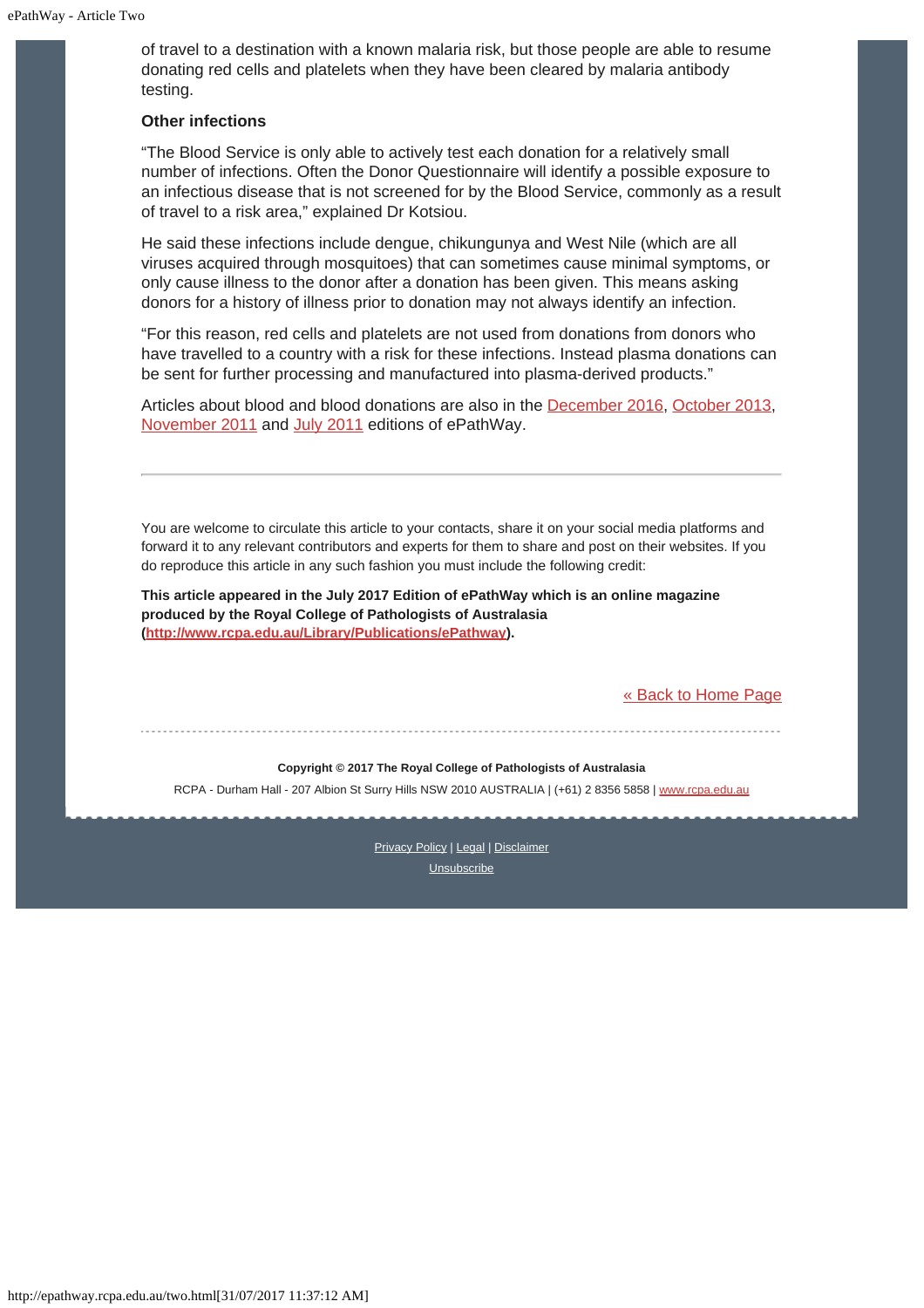of travel to a destination with a known malaria risk, but those people are able to resume donating red cells and platelets when they have been cleared by malaria antibody testing.

#### **Other infections**

"The Blood Service is only able to actively test each donation for a relatively small number of infections. Often the Donor Questionnaire will identify a possible exposure to an infectious disease that is not screened for by the Blood Service, commonly as a result of travel to a risk area," explained Dr Kotsiou.

He said these infections include dengue, chikungunya and West Nile (which are all viruses acquired through mosquitoes) that can sometimes cause minimal symptoms, or only cause illness to the donor after a donation has been given. This means asking donors for a history of illness prior to donation may not always identify an infection.

"For this reason, red cells and platelets are not used from donations from donors who have travelled to a country with a risk for these infections. Instead plasma donations can be sent for further processing and manufactured into plasma-derived products."

Articles about blood and blood donations are also in the [December 2016](http://www.rcpa.edu.au/getattachment/fc734ffa-abce-43a6-adfd-bf67e858baef/ePathway-Issue-65.aspx), [October 2013](http://www.rcpa.edu.au/getattachment/b7435b5d-93ec-4cbd-ac6d-4fe334543c89/ePathway-Issue-030.aspx), [November 2011](http://www.rcpa.edu.au/getattachment/27225d76-8069-4c17-b5fd-2fdca031064d/ePathway-Issue-009.aspx) and [July 2011](http://www.rcpa.edu.au/getattachment/01f91ec6-1419-405b-8264-c32eb1566799/ePathway-Issue-005.aspx) editions of ePathWay.

You are welcome to circulate this article to your contacts, share it on your social media platforms and forward it to any relevant contributors and experts for them to share and post on their websites. If you do reproduce this article in any such fashion you must include the following credit:

**This article appeared in the July 2017 Edition of ePathWay which is an online magazine produced by the Royal College of Pathologists of Australasia [\(http://www.rcpa.edu.au/Library/Publications/ePathway](http://www.rcpa.edu.au/Library/Publications/ePathway)).**

[« Back to Home Page](http://epathway.rcpa.edu.au/index.html)

#### **Copyright © 2017 The Royal College of Pathologists of Australasia**

RCPA - Durham Hall - 207 Albion St Surry Hills NSW 2010 AUSTRALIA | (+61) 2 8356 5858 | [www.rcpa.edu.au](https://www.rcpa.edu.au/)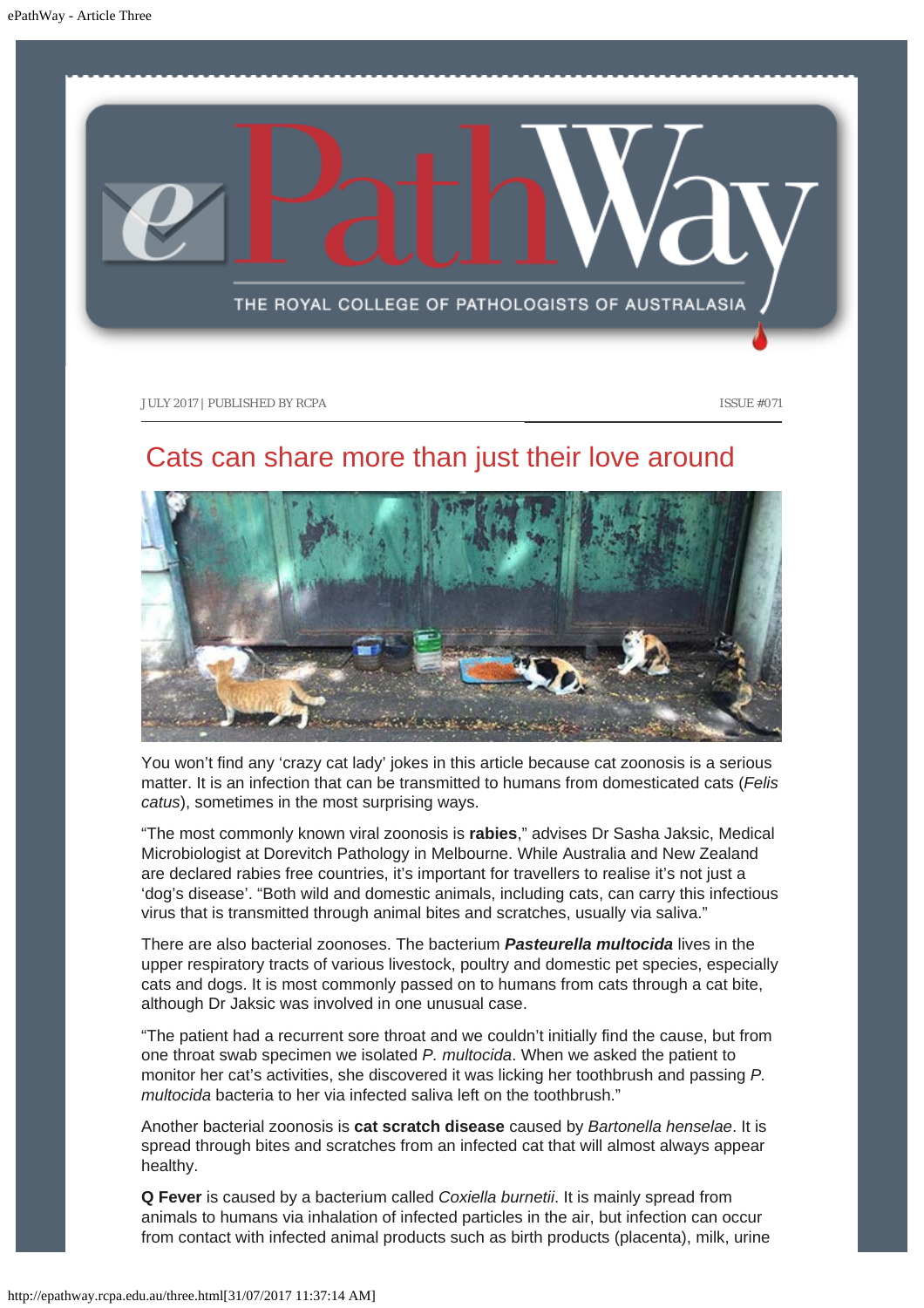<span id="page-10-0"></span>

### Cats can share more than just their love around



You won't find any 'crazy cat lady' jokes in this article because cat zoonosis is a serious matter. It is an infection that can be transmitted to humans from domesticated cats (*Felis catus*), sometimes in the most surprising ways.

"The most commonly known viral zoonosis is **rabies**," advises Dr Sasha Jaksic, Medical Microbiologist at Dorevitch Pathology in Melbourne. While Australia and New Zealand are declared rabies free countries, it's important for travellers to realise it's not just a 'dog's disease'. "Both wild and domestic animals, including cats, can carry this infectious virus that is transmitted through animal bites and scratches, usually via saliva."

There are also bacterial zoonoses. The bacterium *Pasteurella multocida* lives in the upper respiratory tracts of various livestock, poultry and domestic pet species, especially cats and dogs. It is most commonly passed on to humans from cats through a cat bite, although Dr Jaksic was involved in one unusual case.

"The patient had a recurrent sore throat and we couldn't initially find the cause, but from one throat swab specimen we isolated *P. multocida*. When we asked the patient to monitor her cat's activities, she discovered it was licking her toothbrush and passing *P. multocida* bacteria to her via infected saliva left on the toothbrush."

Another bacterial zoonosis is **cat scratch disease** caused by *Bartonella henselae*. It is spread through bites and scratches from an infected cat that will almost always appear healthy.

**Q Fever** is caused by a bacterium called *Coxiella burnetii*. It is mainly spread from animals to humans via inhalation of infected particles in the air, but infection can occur from contact with infected animal products such as birth products (placenta), milk, urine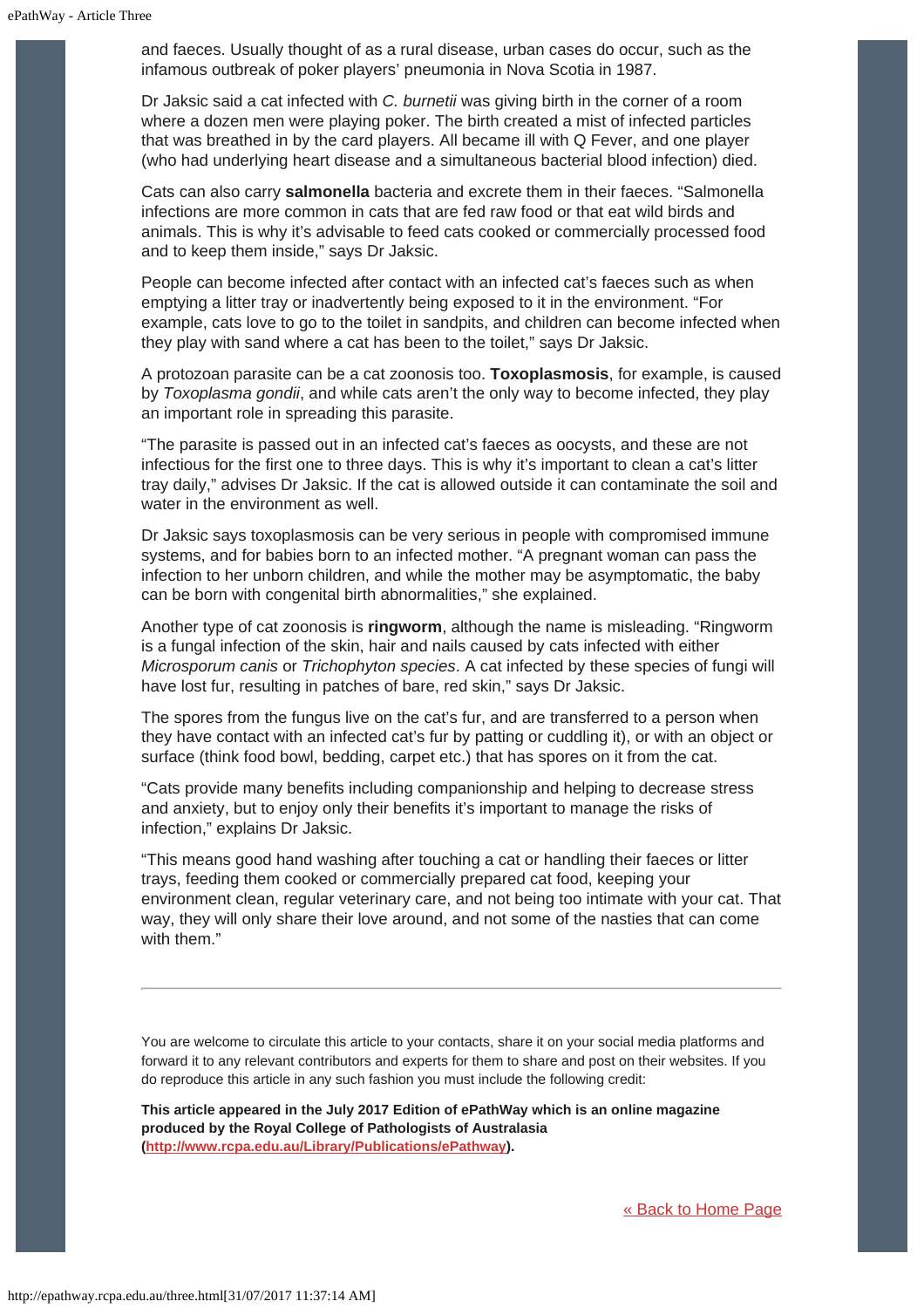and faeces. Usually thought of as a rural disease, urban cases do occur, such as the infamous outbreak of poker players' pneumonia in Nova Scotia in 1987.

Dr Jaksic said a cat infected with *C. burnetii* was giving birth in the corner of a room where a dozen men were playing poker. The birth created a mist of infected particles that was breathed in by the card players. All became ill with Q Fever, and one player (who had underlying heart disease and a simultaneous bacterial blood infection) died.

Cats can also carry **salmonella** bacteria and excrete them in their faeces. "Salmonella infections are more common in cats that are fed raw food or that eat wild birds and animals. This is why it's advisable to feed cats cooked or commercially processed food and to keep them inside," says Dr Jaksic.

People can become infected after contact with an infected cat's faeces such as when emptying a litter tray or inadvertently being exposed to it in the environment. "For example, cats love to go to the toilet in sandpits, and children can become infected when they play with sand where a cat has been to the toilet," says Dr Jaksic.

A protozoan parasite can be a cat zoonosis too. **Toxoplasmosis**, for example, is caused by *Toxoplasma gondii*, and while cats aren't the only way to become infected, they play an important role in spreading this parasite.

"The parasite is passed out in an infected cat's faeces as oocysts, and these are not infectious for the first one to three days. This is why it's important to clean a cat's litter tray daily," advises Dr Jaksic. If the cat is allowed outside it can contaminate the soil and water in the environment as well.

Dr Jaksic says toxoplasmosis can be very serious in people with compromised immune systems, and for babies born to an infected mother. "A pregnant woman can pass the infection to her unborn children, and while the mother may be asymptomatic, the baby can be born with congenital birth abnormalities," she explained.

Another type of cat zoonosis is **ringworm**, although the name is misleading. "Ringworm is a fungal infection of the skin, hair and nails caused by cats infected with either *Microsporum canis* or *Trichophyton species*. A cat infected by these species of fungi will have lost fur, resulting in patches of bare, red skin," says Dr Jaksic.

The spores from the fungus live on the cat's fur, and are transferred to a person when they have contact with an infected cat's fur by patting or cuddling it), or with an object or surface (think food bowl, bedding, carpet etc.) that has spores on it from the cat.

"Cats provide many benefits including companionship and helping to decrease stress and anxiety, but to enjoy only their benefits it's important to manage the risks of infection," explains Dr Jaksic.

"This means good hand washing after touching a cat or handling their faeces or litter trays, feeding them cooked or commercially prepared cat food, keeping your environment clean, regular veterinary care, and not being too intimate with your cat. That way, they will only share their love around, and not some of the nasties that can come with them."

You are welcome to circulate this article to your contacts, share it on your social media platforms and forward it to any relevant contributors and experts for them to share and post on their websites. If you do reproduce this article in any such fashion you must include the following credit:

**This article appeared in the July 2017 Edition of ePathWay which is an online magazine produced by the Royal College of Pathologists of Australasia [\(http://www.rcpa.edu.au/Library/Publications/ePathway](http://www.rcpa.edu.au/Library/Publications/ePathway)).**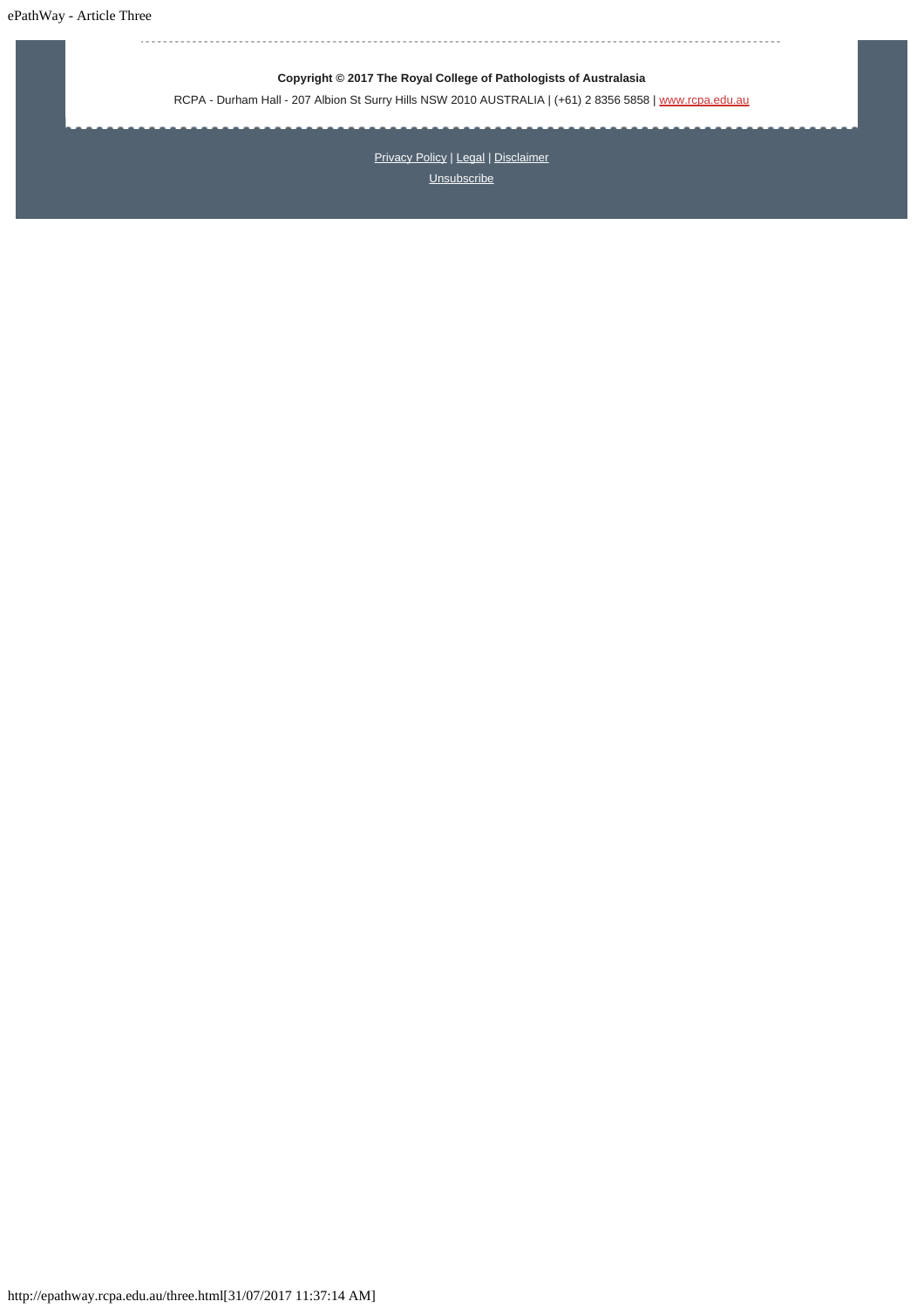ePathWay - Article Three

### **Copyright © 2017 The Royal College of Pathologists of Australasia**

RCPA - Durham Hall - 207 Albion St Surry Hills NSW 2010 AUSTRALIA | (+61) 2 8356 5858 | [www.rcpa.edu.au](https://www.rcpa.edu.au/)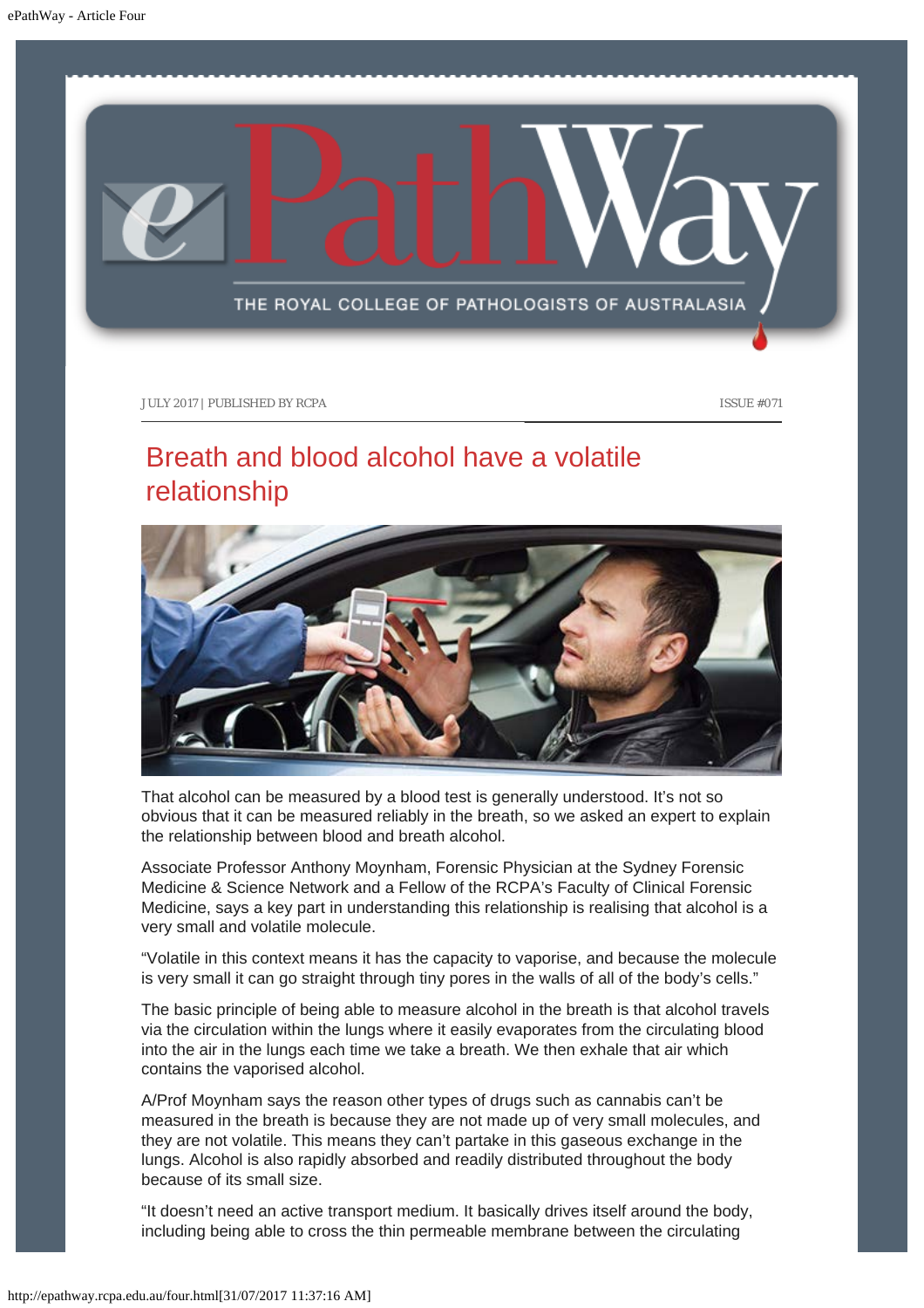<span id="page-13-0"></span>

## Breath and blood alcohol have a volatile relationship



That alcohol can be measured by a blood test is generally understood. It's not so obvious that it can be measured reliably in the breath, so we asked an expert to explain the relationship between blood and breath alcohol.

Associate Professor Anthony Moynham, Forensic Physician at the Sydney Forensic Medicine & Science Network and a Fellow of the RCPA's Faculty of Clinical Forensic Medicine, says a key part in understanding this relationship is realising that alcohol is a very small and volatile molecule.

"Volatile in this context means it has the capacity to vaporise, and because the molecule is very small it can go straight through tiny pores in the walls of all of the body's cells."

The basic principle of being able to measure alcohol in the breath is that alcohol travels via the circulation within the lungs where it easily evaporates from the circulating blood into the air in the lungs each time we take a breath. We then exhale that air which contains the vaporised alcohol.

A/Prof Moynham says the reason other types of drugs such as cannabis can't be measured in the breath is because they are not made up of very small molecules, and they are not volatile. This means they can't partake in this gaseous exchange in the lungs. Alcohol is also rapidly absorbed and readily distributed throughout the body because of its small size.

"It doesn't need an active transport medium. It basically drives itself around the body, including being able to cross the thin permeable membrane between the circulating